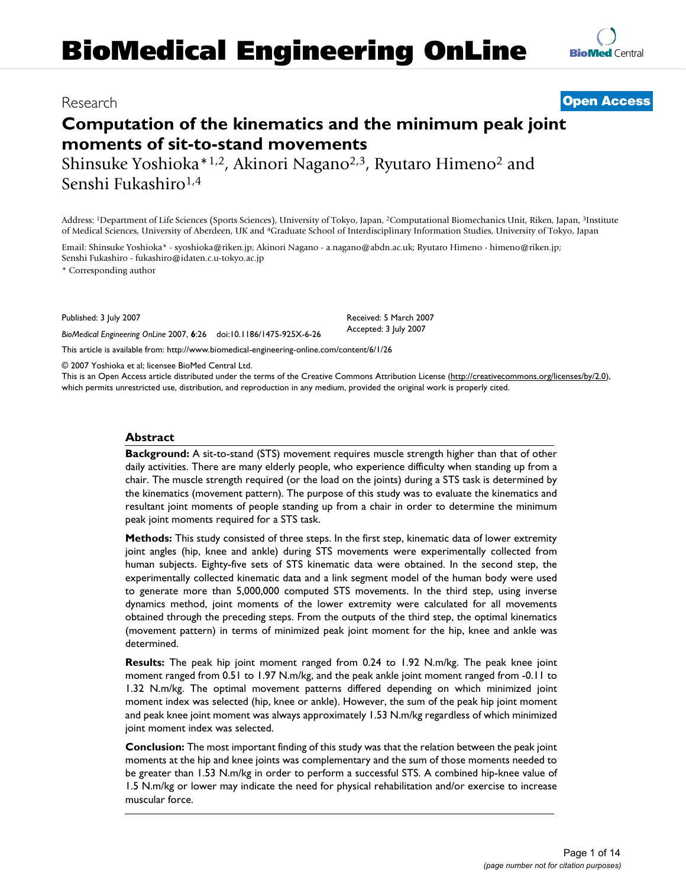# **BioMedical Engineering OnLine**

## **Computation of the kinematics and the minimum peak joint moments of sit-to-stand movements**

Shinsuke Yoshioka\*1,2, Akinori Nagano2,3, Ryutaro Himeno2 and Senshi Fukashiro1,4

Address: 1Department of Life Sciences (Sports Sciences), University of Tokyo, Japan, 2Computational Biomechanics Unit, Riken, Japan, 3Institute of Medical Sciences, University of Aberdeen, UK and 4Graduate School of Interdisciplinary Information Studies, University of Tokyo, Japan

Email: Shinsuke Yoshioka\* - syoshioka@riken.jp; Akinori Nagano - a.nagano@abdn.ac.uk; Ryutaro Himeno - himeno@riken.jp; Senshi Fukashiro - fukashiro@idaten.c.u-tokyo.ac.jp

\* Corresponding author

Published: 3 July 2007

*BioMedical Engineering OnLine* 2007, **6**:26 doi:10.1186/1475-925X-6-26

[This article is available from: http://www.biomedical-engineering-online.com/content/6/1/26](http://www.biomedical-engineering-online.com/content/6/1/26)

© 2007 Yoshioka et al; licensee BioMed Central Ltd.

This is an Open Access article distributed under the terms of the Creative Commons Attribution License [\(http://creativecommons.org/licenses/by/2.0\)](http://creativecommons.org/licenses/by/2.0), which permits unrestricted use, distribution, and reproduction in any medium, provided the original work is properly cited.

#### **Abstract**

**Background:** A sit-to-stand (STS) movement requires muscle strength higher than that of other daily activities. There are many elderly people, who experience difficulty when standing up from a chair. The muscle strength required (or the load on the joints) during a STS task is determined by the kinematics (movement pattern). The purpose of this study was to evaluate the kinematics and resultant joint moments of people standing up from a chair in order to determine the minimum peak joint moments required for a STS task.

**Methods:** This study consisted of three steps. In the first step, kinematic data of lower extremity joint angles (hip, knee and ankle) during STS movements were experimentally collected from human subjects. Eighty-five sets of STS kinematic data were obtained. In the second step, the experimentally collected kinematic data and a link segment model of the human body were used to generate more than 5,000,000 computed STS movements. In the third step, using inverse dynamics method, joint moments of the lower extremity were calculated for all movements obtained through the preceding steps. From the outputs of the third step, the optimal kinematics (movement pattern) in terms of minimized peak joint moment for the hip, knee and ankle was determined.

**Results:** The peak hip joint moment ranged from 0.24 to 1.92 N.m/kg. The peak knee joint moment ranged from 0.51 to 1.97 N.m/kg, and the peak ankle joint moment ranged from -0.11 to 1.32 N.m/kg. The optimal movement patterns differed depending on which minimized joint moment index was selected (hip, knee or ankle). However, the sum of the peak hip joint moment and peak knee joint moment was always approximately 1.53 N.m/kg regardless of which minimized joint moment index was selected.

**Conclusion:** The most important finding of this study was that the relation between the peak joint moments at the hip and knee joints was complementary and the sum of those moments needed to be greater than 1.53 N.m/kg in order to perform a successful STS. A combined hip-knee value of 1.5 N.m/kg or lower may indicate the need for physical rehabilitation and/or exercise to increase muscular force.

Research **[Open Access](http://www.biomedcentral.com/info/about/charter/)**

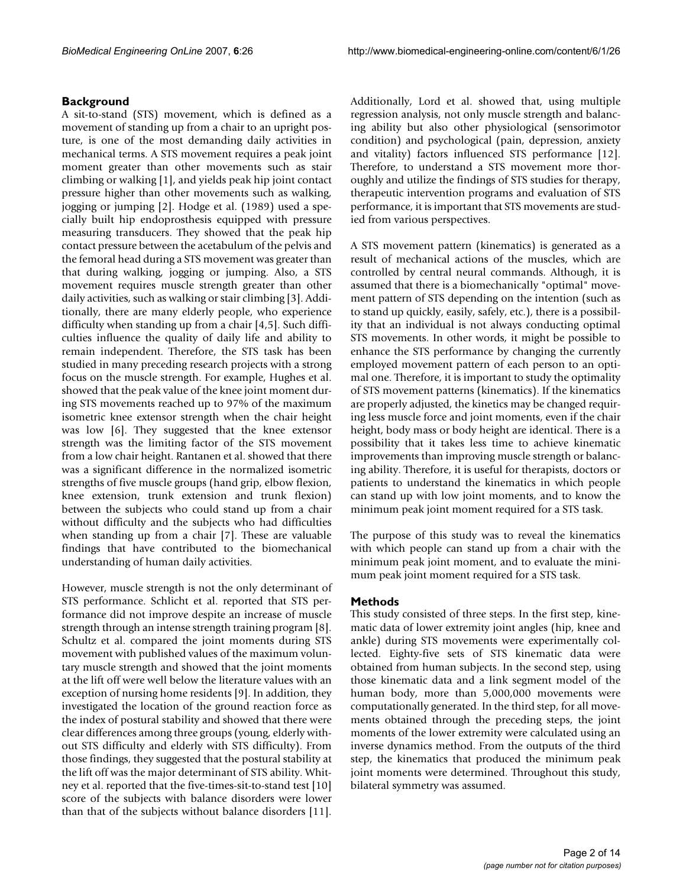#### **Background**

A sit-to-stand (STS) movement, which is defined as a movement of standing up from a chair to an upright posture, is one of the most demanding daily activities in mechanical terms. A STS movement requires a peak joint moment greater than other movements such as stair climbing or walking [1], and yields peak hip joint contact pressure higher than other movements such as walking, jogging or jumping [2]. Hodge et al. (1989) used a specially built hip endoprosthesis equipped with pressure measuring transducers. They showed that the peak hip contact pressure between the acetabulum of the pelvis and the femoral head during a STS movement was greater than that during walking, jogging or jumping. Also, a STS movement requires muscle strength greater than other daily activities, such as walking or stair climbing [3]. Additionally, there are many elderly people, who experience difficulty when standing up from a chair [4,5]. Such difficulties influence the quality of daily life and ability to remain independent. Therefore, the STS task has been studied in many preceding research projects with a strong focus on the muscle strength. For example, Hughes et al. showed that the peak value of the knee joint moment during STS movements reached up to 97% of the maximum isometric knee extensor strength when the chair height was low [6]. They suggested that the knee extensor strength was the limiting factor of the STS movement from a low chair height. Rantanen et al. showed that there was a significant difference in the normalized isometric strengths of five muscle groups (hand grip, elbow flexion, knee extension, trunk extension and trunk flexion) between the subjects who could stand up from a chair without difficulty and the subjects who had difficulties when standing up from a chair [7]. These are valuable findings that have contributed to the biomechanical understanding of human daily activities.

However, muscle strength is not the only determinant of STS performance. Schlicht et al. reported that STS performance did not improve despite an increase of muscle strength through an intense strength training program [8]. Schultz et al. compared the joint moments during STS movement with published values of the maximum voluntary muscle strength and showed that the joint moments at the lift off were well below the literature values with an exception of nursing home residents [9]. In addition, they investigated the location of the ground reaction force as the index of postural stability and showed that there were clear differences among three groups (young, elderly without STS difficulty and elderly with STS difficulty). From those findings, they suggested that the postural stability at the lift off was the major determinant of STS ability. Whitney et al. reported that the five-times-sit-to-stand test [10] score of the subjects with balance disorders were lower than that of the subjects without balance disorders [11]. Additionally, Lord et al. showed that, using multiple regression analysis, not only muscle strength and balancing ability but also other physiological (sensorimotor condition) and psychological (pain, depression, anxiety and vitality) factors influenced STS performance [12]. Therefore, to understand a STS movement more thoroughly and utilize the findings of STS studies for therapy, therapeutic intervention programs and evaluation of STS performance, it is important that STS movements are studied from various perspectives.

A STS movement pattern (kinematics) is generated as a result of mechanical actions of the muscles, which are controlled by central neural commands. Although, it is assumed that there is a biomechanically "optimal" movement pattern of STS depending on the intention (such as to stand up quickly, easily, safely, etc.), there is a possibility that an individual is not always conducting optimal STS movements. In other words, it might be possible to enhance the STS performance by changing the currently employed movement pattern of each person to an optimal one. Therefore, it is important to study the optimality of STS movement patterns (kinematics). If the kinematics are properly adjusted, the kinetics may be changed requiring less muscle force and joint moments, even if the chair height, body mass or body height are identical. There is a possibility that it takes less time to achieve kinematic improvements than improving muscle strength or balancing ability. Therefore, it is useful for therapists, doctors or patients to understand the kinematics in which people can stand up with low joint moments, and to know the minimum peak joint moment required for a STS task.

The purpose of this study was to reveal the kinematics with which people can stand up from a chair with the minimum peak joint moment, and to evaluate the minimum peak joint moment required for a STS task.

#### **Methods**

This study consisted of three steps. In the first step, kinematic data of lower extremity joint angles (hip, knee and ankle) during STS movements were experimentally collected. Eighty-five sets of STS kinematic data were obtained from human subjects. In the second step, using those kinematic data and a link segment model of the human body, more than 5,000,000 movements were computationally generated. In the third step, for all movements obtained through the preceding steps, the joint moments of the lower extremity were calculated using an inverse dynamics method. From the outputs of the third step, the kinematics that produced the minimum peak joint moments were determined. Throughout this study, bilateral symmetry was assumed.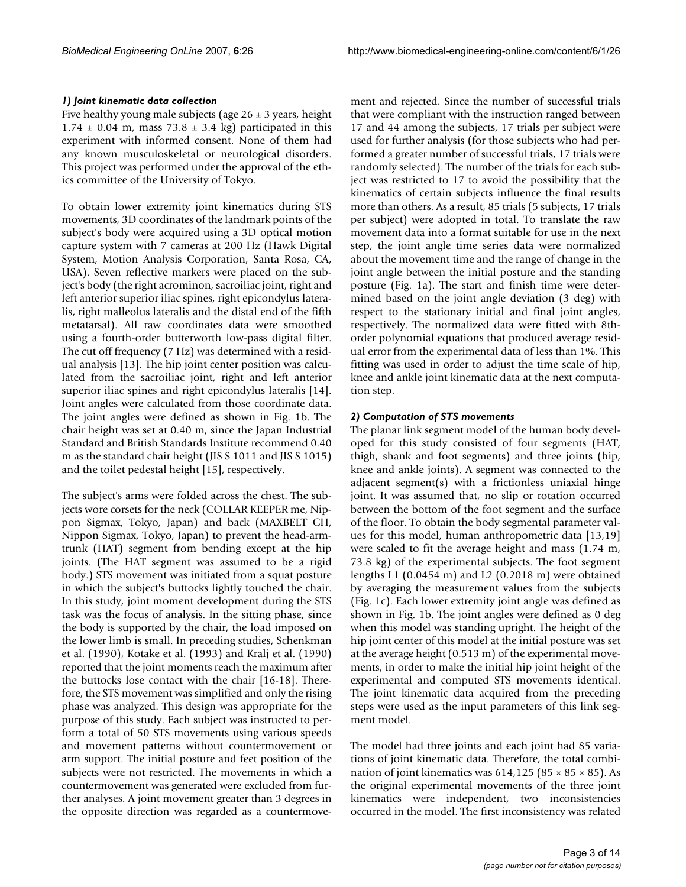#### *1) Joint kinematic data collection*

Five healthy young male subjects (age  $26 \pm 3$  years, height  $1.74 \pm 0.04$  m, mass  $73.8 \pm 3.4$  kg) participated in this experiment with informed consent. None of them had any known musculoskeletal or neurological disorders. This project was performed under the approval of the ethics committee of the University of Tokyo.

To obtain lower extremity joint kinematics during STS movements, 3D coordinates of the landmark points of the subject's body were acquired using a 3D optical motion capture system with 7 cameras at 200 Hz (Hawk Digital System, Motion Analysis Corporation, Santa Rosa, CA, USA). Seven reflective markers were placed on the subject's body (the right acrominon, sacroiliac joint, right and left anterior superior iliac spines, right epicondylus lateralis, right malleolus lateralis and the distal end of the fifth metatarsal). All raw coordinates data were smoothed using a fourth-order butterworth low-pass digital filter. The cut off frequency (7 Hz) was determined with a residual analysis [13]. The hip joint center position was calculated from the sacroiliac joint, right and left anterior superior iliac spines and right epicondylus lateralis [14]. Joint angles were calculated from those coordinate data. The joint angles were defined as shown in Fig. 1b. The chair height was set at 0.40 m, since the Japan Industrial Standard and British Standards Institute recommend 0.40 m as the standard chair height (JIS S 1011 and JIS S 1015) and the toilet pedestal height [15], respectively.

The subject's arms were folded across the chest. The subjects wore corsets for the neck (COLLAR KEEPER me, Nippon Sigmax, Tokyo, Japan) and back (MAXBELT CH, Nippon Sigmax, Tokyo, Japan) to prevent the head-armtrunk (HAT) segment from bending except at the hip joints. (The HAT segment was assumed to be a rigid body.) STS movement was initiated from a squat posture in which the subject's buttocks lightly touched the chair. In this study, joint moment development during the STS task was the focus of analysis. In the sitting phase, since the body is supported by the chair, the load imposed on the lower limb is small. In preceding studies, Schenkman et al. (1990), Kotake et al. (1993) and Kralj et al. (1990) reported that the joint moments reach the maximum after the buttocks lose contact with the chair [16-18]. Therefore, the STS movement was simplified and only the rising phase was analyzed. This design was appropriate for the purpose of this study. Each subject was instructed to perform a total of 50 STS movements using various speeds and movement patterns without countermovement or arm support. The initial posture and feet position of the subjects were not restricted. The movements in which a countermovement was generated were excluded from further analyses. A joint movement greater than 3 degrees in the opposite direction was regarded as a countermovement and rejected. Since the number of successful trials that were compliant with the instruction ranged between 17 and 44 among the subjects, 17 trials per subject were used for further analysis (for those subjects who had performed a greater number of successful trials, 17 trials were randomly selected). The number of the trials for each subject was restricted to 17 to avoid the possibility that the kinematics of certain subjects influence the final results more than others. As a result, 85 trials (5 subjects, 17 trials per subject) were adopted in total. To translate the raw movement data into a format suitable for use in the next step, the joint angle time series data were normalized about the movement time and the range of change in the joint angle between the initial posture and the standing posture (Fig. 1a). The start and finish time were determined based on the joint angle deviation (3 deg) with respect to the stationary initial and final joint angles, respectively. The normalized data were fitted with 8thorder polynomial equations that produced average residual error from the experimental data of less than 1%. This fitting was used in order to adjust the time scale of hip, knee and ankle joint kinematic data at the next computation step.

#### *2) Computation of STS movements*

The planar link segment model of the human body developed for this study consisted of four segments (HAT, thigh, shank and foot segments) and three joints (hip, knee and ankle joints). A segment was connected to the adjacent segment(s) with a frictionless uniaxial hinge joint. It was assumed that, no slip or rotation occurred between the bottom of the foot segment and the surface of the floor. To obtain the body segmental parameter values for this model, human anthropometric data [13,19] were scaled to fit the average height and mass (1.74 m, 73.8 kg) of the experimental subjects. The foot segment lengths L1 (0.0454 m) and L2 (0.2018 m) were obtained by averaging the measurement values from the subjects (Fig. 1c). Each lower extremity joint angle was defined as shown in Fig. 1b. The joint angles were defined as 0 deg when this model was standing upright. The height of the hip joint center of this model at the initial posture was set at the average height (0.513 m) of the experimental movements, in order to make the initial hip joint height of the experimental and computed STS movements identical. The joint kinematic data acquired from the preceding steps were used as the input parameters of this link segment model.

The model had three joints and each joint had 85 variations of joint kinematic data. Therefore, the total combination of joint kinematics was  $614,125$  ( $85 \times 85 \times 85$ ). As the original experimental movements of the three joint kinematics were independent, two inconsistencies occurred in the model. The first inconsistency was related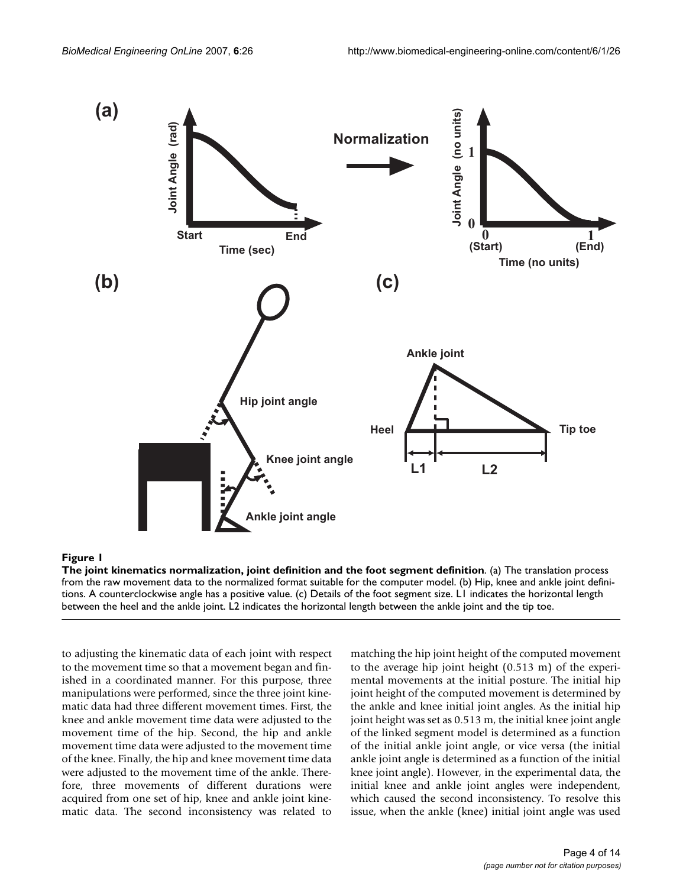

#### The joint kinematics normalization, joint **Figure 1** definition and the foot segment definition

**The joint kinematics normalization, joint definition and the foot segment definition**. (a) The translation process from the raw movement data to the normalized format suitable for the computer model. (b) Hip, knee and ankle joint definitions. A counterclockwise angle has a positive value. (c) Details of the foot segment size. L1 indicates the horizontal length between the heel and the ankle joint. L2 indicates the horizontal length between the ankle joint and the tip toe.

to adjusting the kinematic data of each joint with respect to the movement time so that a movement began and finished in a coordinated manner. For this purpose, three manipulations were performed, since the three joint kinematic data had three different movement times. First, the knee and ankle movement time data were adjusted to the movement time of the hip. Second, the hip and ankle movement time data were adjusted to the movement time of the knee. Finally, the hip and knee movement time data were adjusted to the movement time of the ankle. Therefore, three movements of different durations were acquired from one set of hip, knee and ankle joint kinematic data. The second inconsistency was related to

matching the hip joint height of the computed movement to the average hip joint height (0.513 m) of the experimental movements at the initial posture. The initial hip joint height of the computed movement is determined by the ankle and knee initial joint angles. As the initial hip joint height was set as 0.513 m, the initial knee joint angle of the linked segment model is determined as a function of the initial ankle joint angle, or vice versa (the initial ankle joint angle is determined as a function of the initial knee joint angle). However, in the experimental data, the initial knee and ankle joint angles were independent, which caused the second inconsistency. To resolve this issue, when the ankle (knee) initial joint angle was used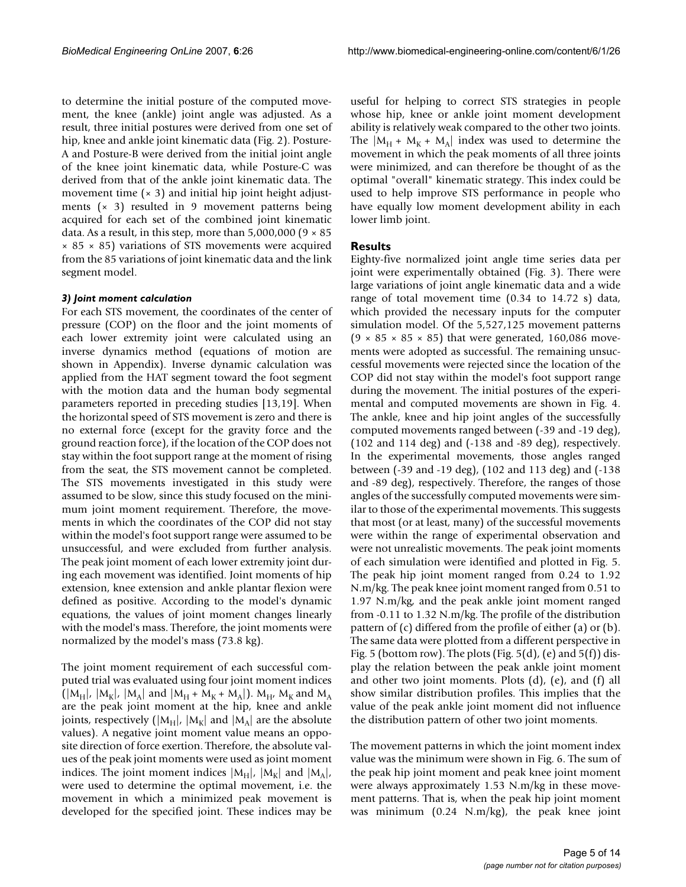to determine the initial posture of the computed movement, the knee (ankle) joint angle was adjusted. As a result, three initial postures were derived from one set of hip, knee and ankle joint kinematic data (Fig. 2). Posture-A and Posture-B were derived from the initial joint angle of the knee joint kinematic data, while Posture-C was derived from that of the ankle joint kinematic data. The movement time  $(x 3)$  and initial hip joint height adjustments  $(x, 3)$  resulted in 9 movement patterns being acquired for each set of the combined joint kinematic data. As a result, in this step, more than  $5,000,000$  (9  $\times$  85  $\times$  85  $\times$  85) variations of STS movements were acquired from the 85 variations of joint kinematic data and the link segment model.

#### *3) Joint moment calculation*

For each STS movement, the coordinates of the center of pressure (COP) on the floor and the joint moments of each lower extremity joint were calculated using an inverse dynamics method (equations of motion are shown in Appendix). Inverse dynamic calculation was applied from the HAT segment toward the foot segment with the motion data and the human body segmental parameters reported in preceding studies [13,19]. When the horizontal speed of STS movement is zero and there is no external force (except for the gravity force and the ground reaction force), if the location of the COP does not stay within the foot support range at the moment of rising from the seat, the STS movement cannot be completed. The STS movements investigated in this study were assumed to be slow, since this study focused on the minimum joint moment requirement. Therefore, the movements in which the coordinates of the COP did not stay within the model's foot support range were assumed to be unsuccessful, and were excluded from further analysis. The peak joint moment of each lower extremity joint during each movement was identified. Joint moments of hip extension, knee extension and ankle plantar flexion were defined as positive. According to the model's dynamic equations, the values of joint moment changes linearly with the model's mass. Therefore, the joint moments were normalized by the model's mass (73.8 kg).

The joint moment requirement of each successful computed trial was evaluated using four joint moment indices  $(|M_H|, |M_K|, |M_A|$  and  $|M_H + M_K + M_A|$ ).  $M_H$ ,  $M_K$  and  $M_A$ are the peak joint moment at the hip, knee and ankle joints, respectively ( $|M_H|$ ,  $|M_K|$  and  $|M_A|$  are the absolute values). A negative joint moment value means an opposite direction of force exertion. Therefore, the absolute values of the peak joint moments were used as joint moment indices. The joint moment indices  $|M_H|$ ,  $|M_K|$  and  $|M_A|$ , were used to determine the optimal movement, i.e. the movement in which a minimized peak movement is developed for the specified joint. These indices may be useful for helping to correct STS strategies in people whose hip, knee or ankle joint moment development ability is relatively weak compared to the other two joints. The  $|M_H + M_K + M_A|$  index was used to determine the movement in which the peak moments of all three joints were minimized, and can therefore be thought of as the optimal "overall" kinematic strategy. This index could be used to help improve STS performance in people who have equally low moment development ability in each lower limb joint.

#### **Results**

Eighty-five normalized joint angle time series data per joint were experimentally obtained (Fig. 3). There were large variations of joint angle kinematic data and a wide range of total movement time (0.34 to 14.72 s) data, which provided the necessary inputs for the computer simulation model. Of the 5,527,125 movement patterns  $(9 \times 85 \times 85 \times 85)$  that were generated, 160,086 movements were adopted as successful. The remaining unsuccessful movements were rejected since the location of the COP did not stay within the model's foot support range during the movement. The initial postures of the experimental and computed movements are shown in Fig. 4. The ankle, knee and hip joint angles of the successfully computed movements ranged between (-39 and -19 deg), (102 and 114 deg) and (-138 and -89 deg), respectively. In the experimental movements, those angles ranged between (-39 and -19 deg), (102 and 113 deg) and (-138 and -89 deg), respectively. Therefore, the ranges of those angles of the successfully computed movements were similar to those of the experimental movements. This suggests that most (or at least, many) of the successful movements were within the range of experimental observation and were not unrealistic movements. The peak joint moments of each simulation were identified and plotted in Fig. 5. The peak hip joint moment ranged from 0.24 to 1.92 N.m/kg. The peak knee joint moment ranged from 0.51 to 1.97 N.m/kg, and the peak ankle joint moment ranged from -0.11 to 1.32 N.m/kg. The profile of the distribution pattern of (c) differed from the profile of either (a) or (b). The same data were plotted from a different perspective in Fig. 5 (bottom row). The plots (Fig.  $5(d)$ , (e) and  $5(f)$ ) display the relation between the peak ankle joint moment and other two joint moments. Plots (d), (e), and (f) all show similar distribution profiles. This implies that the value of the peak ankle joint moment did not influence the distribution pattern of other two joint moments.

The movement patterns in which the joint moment index value was the minimum were shown in Fig. 6. The sum of the peak hip joint moment and peak knee joint moment were always approximately 1.53 N.m/kg in these movement patterns. That is, when the peak hip joint moment was minimum (0.24 N.m/kg), the peak knee joint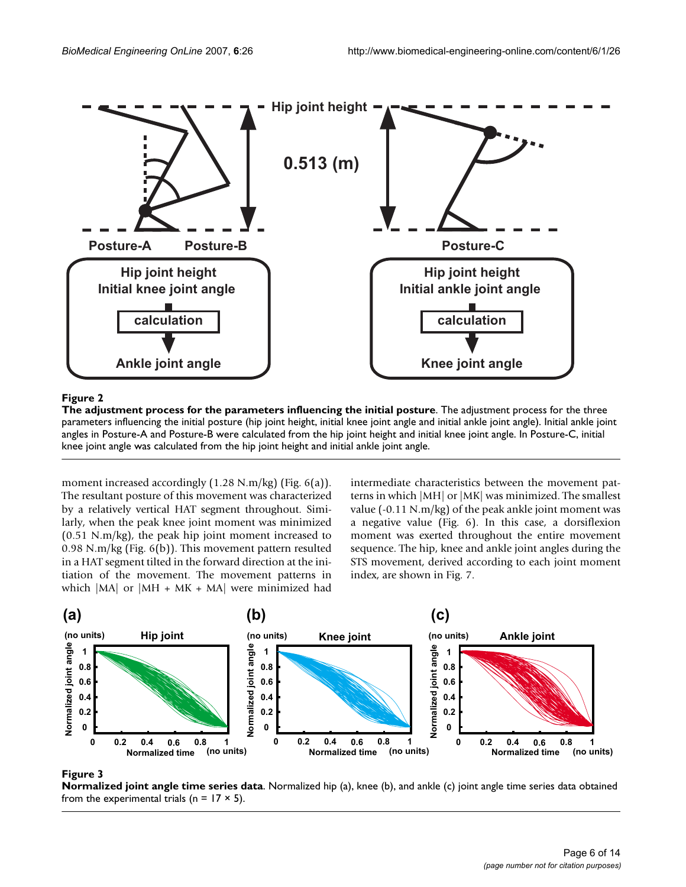

**The adjustment process for the parameters influencing the initial posture**. The adjustment process for the three parameters influencing the initial posture (hip joint height, initial knee joint angle and initial ankle joint angle). Initial ankle joint angles in Posture-A and Posture-B were calculated from the hip joint height and initial knee joint angle. In Posture-C, initial knee joint angle was calculated from the hip joint height and initial ankle joint angle.

moment increased accordingly (1.28 N.m/kg) (Fig. 6(a)). The resultant posture of this movement was characterized by a relatively vertical HAT segment throughout. Similarly, when the peak knee joint moment was minimized (0.51 N.m/kg), the peak hip joint moment increased to 0.98 N.m/kg (Fig. 6(b)). This movement pattern resulted in a HAT segment tilted in the forward direction at the initiation of the movement. The movement patterns in which |MA| or |MH + MK + MA| were minimized had intermediate characteristics between the movement patterns in which |MH| or |MK| was minimized. The smallest value (-0.11 N.m/kg) of the peak ankle joint moment was a negative value (Fig. 6). In this case, a dorsiflexion moment was exerted throughout the entire movement sequence. The hip, knee and ankle joint angles during the STS movement, derived according to each joint moment index, are shown in Fig. 7.



#### **Figure 3**

**Normalized joint angle time series data**. Normalized hip (a), knee (b), and ankle (c) joint angle time series data obtained from the experimental trials ( $n = 17 \times 5$ ).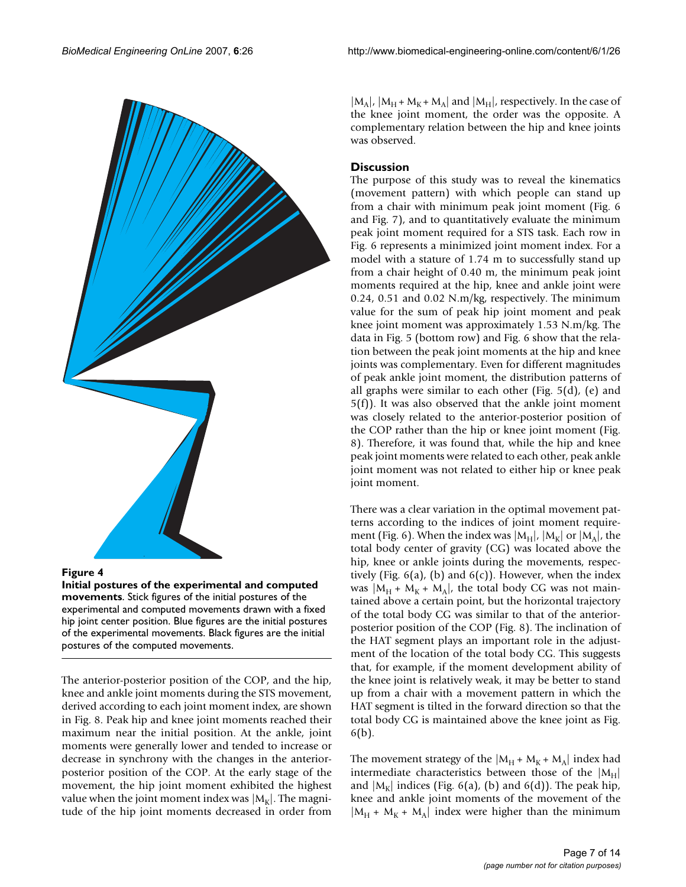

**Initial postures of the experimental and computed movements**. Stick figures of the initial postures of the experimental and computed movements drawn with a fixed hip joint center position. Blue figures are the initial postures of the experimental movements. Black figures are the initial postures of the computed movements.

The anterior-posterior position of the COP, and the hip, knee and ankle joint moments during the STS movement, derived according to each joint moment index, are shown in Fig. 8. Peak hip and knee joint moments reached their maximum near the initial position. At the ankle, joint moments were generally lower and tended to increase or decrease in synchrony with the changes in the anteriorposterior position of the COP. At the early stage of the movement, the hip joint moment exhibited the highest value when the joint moment index was  $|M_K|$ . The magnitude of the hip joint moments decreased in order from

 $|M_A|$ ,  $|M_H + M_K + M_A|$  and  $|M_H|$ , respectively. In the case of the knee joint moment, the order was the opposite. A complementary relation between the hip and knee joints was observed.

#### **Discussion**

The purpose of this study was to reveal the kinematics (movement pattern) with which people can stand up from a chair with minimum peak joint moment (Fig. 6 and Fig. 7), and to quantitatively evaluate the minimum peak joint moment required for a STS task. Each row in Fig. 6 represents a minimized joint moment index. For a model with a stature of 1.74 m to successfully stand up from a chair height of 0.40 m, the minimum peak joint moments required at the hip, knee and ankle joint were 0.24, 0.51 and 0.02 N.m/kg, respectively. The minimum value for the sum of peak hip joint moment and peak knee joint moment was approximately 1.53 N.m/kg. The data in Fig. 5 (bottom row) and Fig. 6 show that the relation between the peak joint moments at the hip and knee joints was complementary. Even for different magnitudes of peak ankle joint moment, the distribution patterns of all graphs were similar to each other (Fig. 5(d), (e) and 5(f)). It was also observed that the ankle joint moment was closely related to the anterior-posterior position of the COP rather than the hip or knee joint moment (Fig. 8). Therefore, it was found that, while the hip and knee peak joint moments were related to each other, peak ankle joint moment was not related to either hip or knee peak joint moment.

There was a clear variation in the optimal movement patterns according to the indices of joint moment requirement (Fig. 6). When the index was  $|M_H|$ ,  $|M_K|$  or  $|M_A|$ , the total body center of gravity (CG) was located above the hip, knee or ankle joints during the movements, respectively (Fig.  $6(a)$ , (b) and  $6(c)$ ). However, when the index was  $|M_H + M_K + M_A|$ , the total body CG was not maintained above a certain point, but the horizontal trajectory of the total body CG was similar to that of the anteriorposterior position of the COP (Fig. 8). The inclination of the HAT segment plays an important role in the adjustment of the location of the total body CG. This suggests that, for example, if the moment development ability of the knee joint is relatively weak, it may be better to stand up from a chair with a movement pattern in which the HAT segment is tilted in the forward direction so that the total body CG is maintained above the knee joint as Fig. 6(b).

The movement strategy of the  $|M_H + M_K + M_A|$  index had intermediate characteristics between those of the  $|M_H|$ and  $|M_K|$  indices (Fig. 6(a), (b) and 6(d)). The peak hip, knee and ankle joint moments of the movement of the  $|M_{\rm H}$  + M<sub>K</sub> + M<sub>A</sub> index were higher than the minimum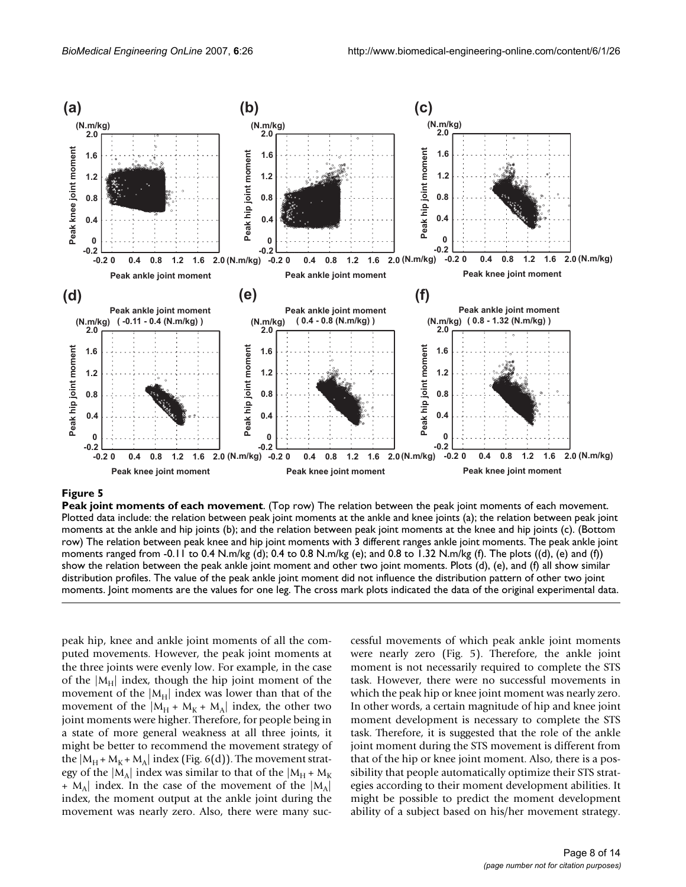

**Peak joint moments of each movement**. (Top row) The relation between the peak joint moments of each movement. Plotted data include: the relation between peak joint moments at the ankle and knee joints (a); the relation between peak joint moments at the ankle and hip joints (b); and the relation between peak joint moments at the knee and hip joints (c). (Bottom row) The relation between peak knee and hip joint moments with 3 different ranges ankle joint moments. The peak ankle joint moments ranged from -0.11 to 0.4 N.m/kg (d); 0.4 to 0.8 N.m/kg (e); and 0.8 to 1.32 N.m/kg (f). The plots ((d), (e) and (f)) show the relation between the peak ankle joint moment and other two joint moments. Plots (d), (e), and (f) all show similar distribution profiles. The value of the peak ankle joint moment did not influence the distribution pattern of other two joint moments. Joint moments are the values for one leg. The cross mark plots indicated the data of the original experimental data.

peak hip, knee and ankle joint moments of all the computed movements. However, the peak joint moments at the three joints were evenly low. For example, in the case of the  $|M_H|$  index, though the hip joint moment of the movement of the  $|M_H|$  index was lower than that of the movement of the  $|M_H + M_K + M_A|$  index, the other two joint moments were higher. Therefore, for people being in a state of more general weakness at all three joints, it might be better to recommend the movement strategy of the  $|M_H + M_K + M_A|$  index (Fig. 6(d)). The movement strategy of the  $|M_A|$  index was similar to that of the  $|M_H + M_K|$ +  $M_A$ | index. In the case of the movement of the  $|M_A|$ index, the moment output at the ankle joint during the movement was nearly zero. Also, there were many successful movements of which peak ankle joint moments were nearly zero (Fig. 5). Therefore, the ankle joint moment is not necessarily required to complete the STS task. However, there were no successful movements in which the peak hip or knee joint moment was nearly zero. In other words, a certain magnitude of hip and knee joint moment development is necessary to complete the STS task. Therefore, it is suggested that the role of the ankle joint moment during the STS movement is different from that of the hip or knee joint moment. Also, there is a possibility that people automatically optimize their STS strategies according to their moment development abilities. It might be possible to predict the moment development ability of a subject based on his/her movement strategy.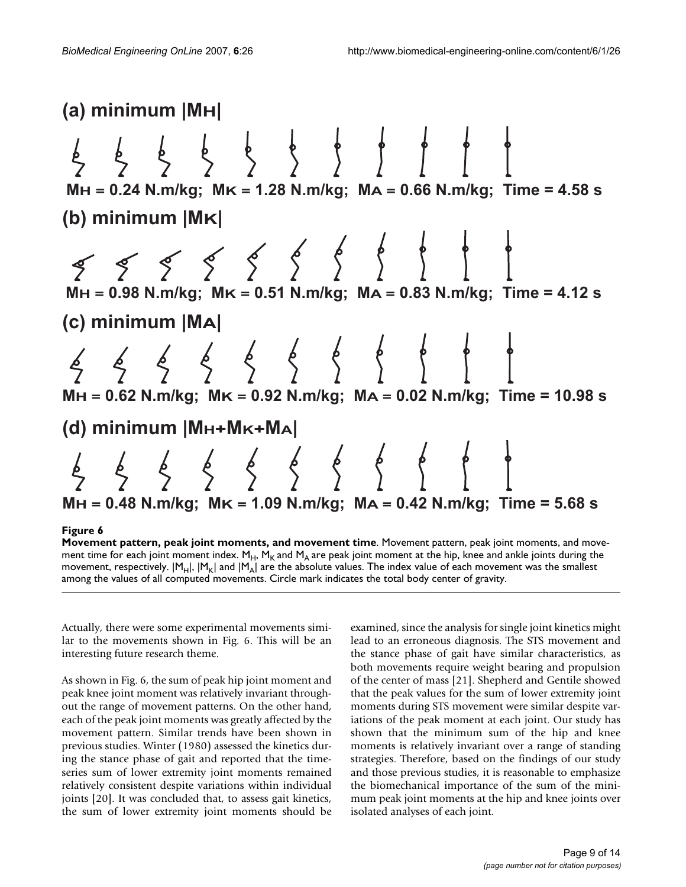

**Movement pattern, peak joint moments, and movement time**. Movement pattern, peak joint moments, and movement time for each joint moment index.  $M_H$ ,  $M_K$  and  $M_A$  are peak joint moment at the hip, knee and ankle joints during the movement, respectively.  $|M_H|$ ,  $|M_K|$  and  $|M_A|$  are the absolute values. The index value of each movement was the smallest among the values of all computed movements. Circle mark indicates the total body center of gravity.

Actually, there were some experimental movements similar to the movements shown in Fig. 6. This will be an interesting future research theme.

As shown in Fig. 6, the sum of peak hip joint moment and peak knee joint moment was relatively invariant throughout the range of movement patterns. On the other hand, each of the peak joint moments was greatly affected by the movement pattern. Similar trends have been shown in previous studies. Winter (1980) assessed the kinetics during the stance phase of gait and reported that the timeseries sum of lower extremity joint moments remained relatively consistent despite variations within individual joints [20]. It was concluded that, to assess gait kinetics, the sum of lower extremity joint moments should be examined, since the analysis for single joint kinetics might lead to an erroneous diagnosis. The STS movement and the stance phase of gait have similar characteristics, as both movements require weight bearing and propulsion of the center of mass [21]. Shepherd and Gentile showed that the peak values for the sum of lower extremity joint moments during STS movement were similar despite variations of the peak moment at each joint. Our study has shown that the minimum sum of the hip and knee moments is relatively invariant over a range of standing strategies. Therefore, based on the findings of our study and those previous studies, it is reasonable to emphasize the biomechanical importance of the sum of the minimum peak joint moments at the hip and knee joints over isolated analyses of each joint.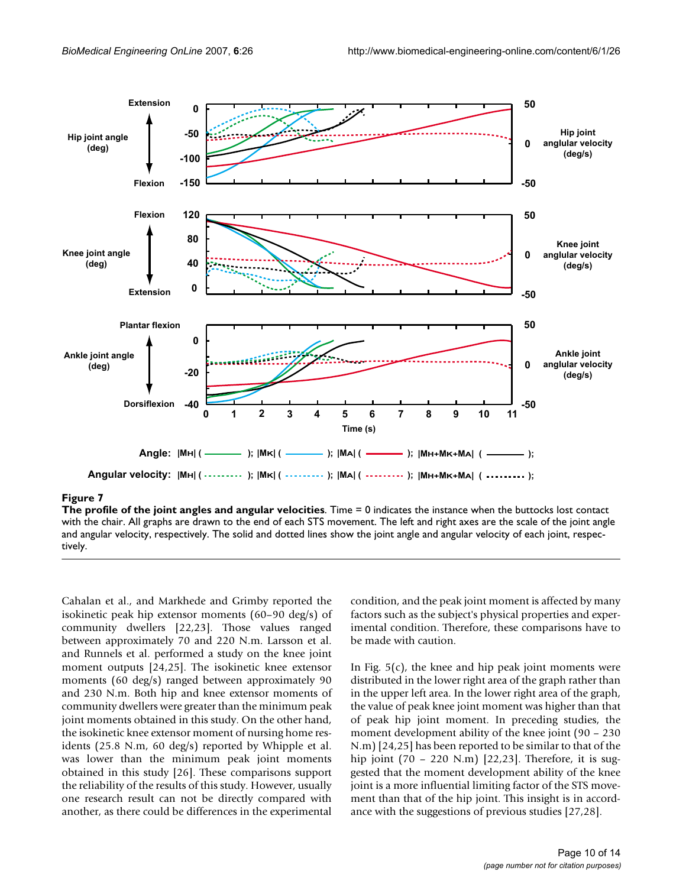

**The profile of the joint angles and angular velocities**. Time = 0 indicates the instance when the buttocks lost contact with the chair. All graphs are drawn to the end of each STS movement. The left and right axes are the scale of the joint angle and angular velocity, respectively. The solid and dotted lines show the joint angle and angular velocity of each joint, respectively.

Cahalan et al., and Markhede and Grimby reported the isokinetic peak hip extensor moments (60–90 deg/s) of community dwellers [22,23]. Those values ranged between approximately 70 and 220 N.m. Larsson et al. and Runnels et al. performed a study on the knee joint moment outputs [24,25]. The isokinetic knee extensor moments (60 deg/s) ranged between approximately 90 and 230 N.m. Both hip and knee extensor moments of community dwellers were greater than the minimum peak joint moments obtained in this study. On the other hand, the isokinetic knee extensor moment of nursing home residents (25.8 N.m, 60 deg/s) reported by Whipple et al. was lower than the minimum peak joint moments obtained in this study [26]. These comparisons support the reliability of the results of this study. However, usually one research result can not be directly compared with another, as there could be differences in the experimental

condition, and the peak joint moment is affected by many factors such as the subject's physical properties and experimental condition. Therefore, these comparisons have to be made with caution.

In Fig.  $5(c)$ , the knee and hip peak joint moments were distributed in the lower right area of the graph rather than in the upper left area. In the lower right area of the graph, the value of peak knee joint moment was higher than that of peak hip joint moment. In preceding studies, the moment development ability of the knee joint (90 – 230 N.m) [24,25] has been reported to be similar to that of the hip joint (70 – 220 N.m) [22,23]. Therefore, it is suggested that the moment development ability of the knee joint is a more influential limiting factor of the STS movement than that of the hip joint. This insight is in accordance with the suggestions of previous studies [27,28].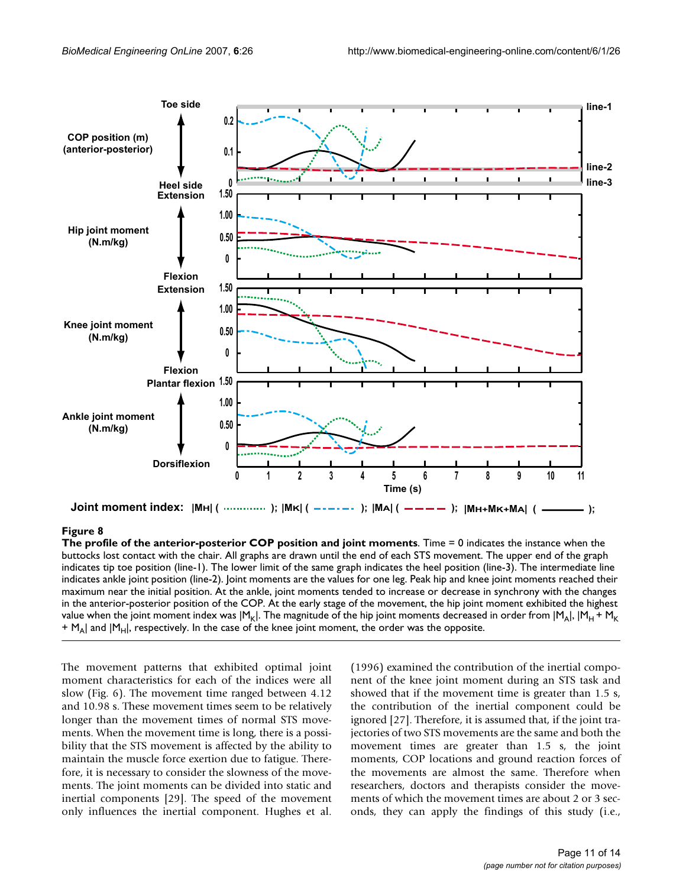

**The profile of the anterior-posterior COP position and joint moments**. Time = 0 indicates the instance when the buttocks lost contact with the chair. All graphs are drawn until the end of each STS movement. The upper end of the graph indicates tip toe position (line-1). The lower limit of the same graph indicates the heel position (line-3). The intermediate line indicates ankle joint position (line-2). Joint moments are the values for one leg. Peak hip and knee joint moments reached their maximum near the initial position. At the ankle, joint moments tended to increase or decrease in synchrony with the changes in the anterior-posterior position of the COP. At the early stage of the movement, the hip joint moment exhibited the highest value when the joint moment index was  $|M_k|$ . The magnitude of the hip joint moments decreased in order from  $|M_A|$ ,  $|M_H + M_K$  $+ M_A$  and  $M_H$ , respectively. In the case of the knee joint moment, the order was the opposite.

The movement patterns that exhibited optimal joint moment characteristics for each of the indices were all slow (Fig. 6). The movement time ranged between 4.12 and 10.98 s. These movement times seem to be relatively longer than the movement times of normal STS movements. When the movement time is long, there is a possibility that the STS movement is affected by the ability to maintain the muscle force exertion due to fatigue. Therefore, it is necessary to consider the slowness of the movements. The joint moments can be divided into static and inertial components [29]. The speed of the movement only influences the inertial component. Hughes et al.

(1996) examined the contribution of the inertial component of the knee joint moment during an STS task and showed that if the movement time is greater than 1.5 s, the contribution of the inertial component could be ignored [27]. Therefore, it is assumed that, if the joint trajectories of two STS movements are the same and both the movement times are greater than 1.5 s, the joint moments, COP locations and ground reaction forces of the movements are almost the same. Therefore when researchers, doctors and therapists consider the movements of which the movement times are about 2 or 3 seconds, they can apply the findings of this study (i.e.,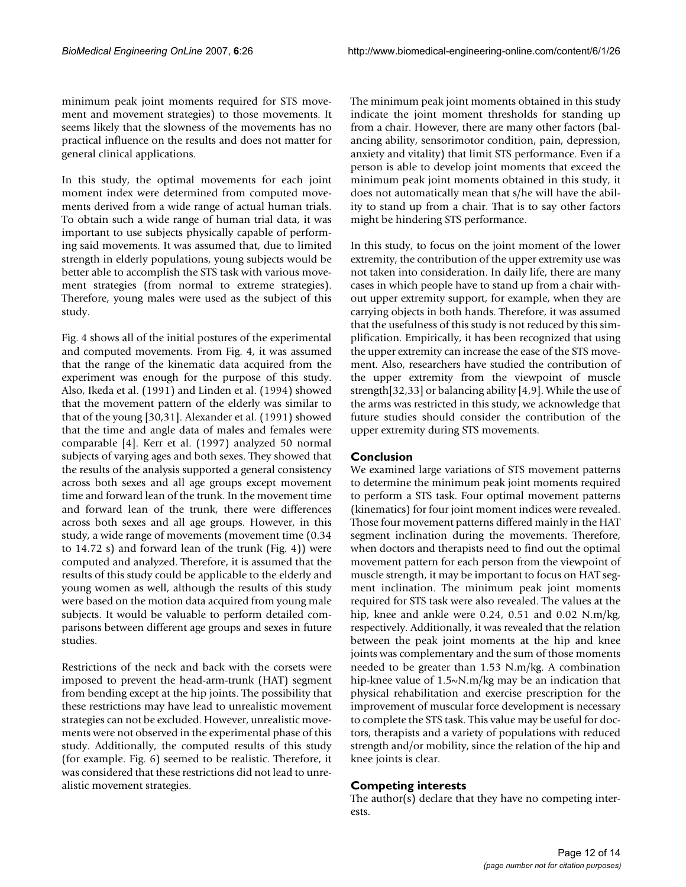minimum peak joint moments required for STS movement and movement strategies) to those movements. It seems likely that the slowness of the movements has no practical influence on the results and does not matter for general clinical applications.

In this study, the optimal movements for each joint moment index were determined from computed movements derived from a wide range of actual human trials. To obtain such a wide range of human trial data, it was important to use subjects physically capable of performing said movements. It was assumed that, due to limited strength in elderly populations, young subjects would be better able to accomplish the STS task with various movement strategies (from normal to extreme strategies). Therefore, young males were used as the subject of this study.

Fig. 4 shows all of the initial postures of the experimental and computed movements. From Fig. 4, it was assumed that the range of the kinematic data acquired from the experiment was enough for the purpose of this study. Also, Ikeda et al. (1991) and Linden et al. (1994) showed that the movement pattern of the elderly was similar to that of the young [30,31]. Alexander et al. (1991) showed that the time and angle data of males and females were comparable [4]. Kerr et al. (1997) analyzed 50 normal subjects of varying ages and both sexes. They showed that the results of the analysis supported a general consistency across both sexes and all age groups except movement time and forward lean of the trunk. In the movement time and forward lean of the trunk, there were differences across both sexes and all age groups. However, in this study, a wide range of movements (movement time (0.34 to 14.72 s) and forward lean of the trunk (Fig. 4)) were computed and analyzed. Therefore, it is assumed that the results of this study could be applicable to the elderly and young women as well, although the results of this study were based on the motion data acquired from young male subjects. It would be valuable to perform detailed comparisons between different age groups and sexes in future studies.

Restrictions of the neck and back with the corsets were imposed to prevent the head-arm-trunk (HAT) segment from bending except at the hip joints. The possibility that these restrictions may have lead to unrealistic movement strategies can not be excluded. However, unrealistic movements were not observed in the experimental phase of this study. Additionally, the computed results of this study (for example. Fig. 6) seemed to be realistic. Therefore, it was considered that these restrictions did not lead to unrealistic movement strategies.

The minimum peak joint moments obtained in this study indicate the joint moment thresholds for standing up from a chair. However, there are many other factors (balancing ability, sensorimotor condition, pain, depression, anxiety and vitality) that limit STS performance. Even if a person is able to develop joint moments that exceed the minimum peak joint moments obtained in this study, it does not automatically mean that s/he will have the ability to stand up from a chair. That is to say other factors might be hindering STS performance.

In this study, to focus on the joint moment of the lower extremity, the contribution of the upper extremity use was not taken into consideration. In daily life, there are many cases in which people have to stand up from a chair without upper extremity support, for example, when they are carrying objects in both hands. Therefore, it was assumed that the usefulness of this study is not reduced by this simplification. Empirically, it has been recognized that using the upper extremity can increase the ease of the STS movement. Also, researchers have studied the contribution of the upper extremity from the viewpoint of muscle strength[32,33] or balancing ability [4,9]. While the use of the arms was restricted in this study, we acknowledge that future studies should consider the contribution of the upper extremity during STS movements.

#### **Conclusion**

We examined large variations of STS movement patterns to determine the minimum peak joint moments required to perform a STS task. Four optimal movement patterns (kinematics) for four joint moment indices were revealed. Those four movement patterns differed mainly in the HAT segment inclination during the movements. Therefore, when doctors and therapists need to find out the optimal movement pattern for each person from the viewpoint of muscle strength, it may be important to focus on HAT segment inclination. The minimum peak joint moments required for STS task were also revealed. The values at the hip, knee and ankle were 0.24, 0.51 and 0.02 N.m/kg, respectively. Additionally, it was revealed that the relation between the peak joint moments at the hip and knee joints was complementary and the sum of those moments needed to be greater than 1.53 N.m/kg. A combination hip-knee value of 1.5~N.m/kg may be an indication that physical rehabilitation and exercise prescription for the improvement of muscular force development is necessary to complete the STS task. This value may be useful for doctors, therapists and a variety of populations with reduced strength and/or mobility, since the relation of the hip and knee joints is clear.

### **Competing interests**

The author(s) declare that they have no competing interests.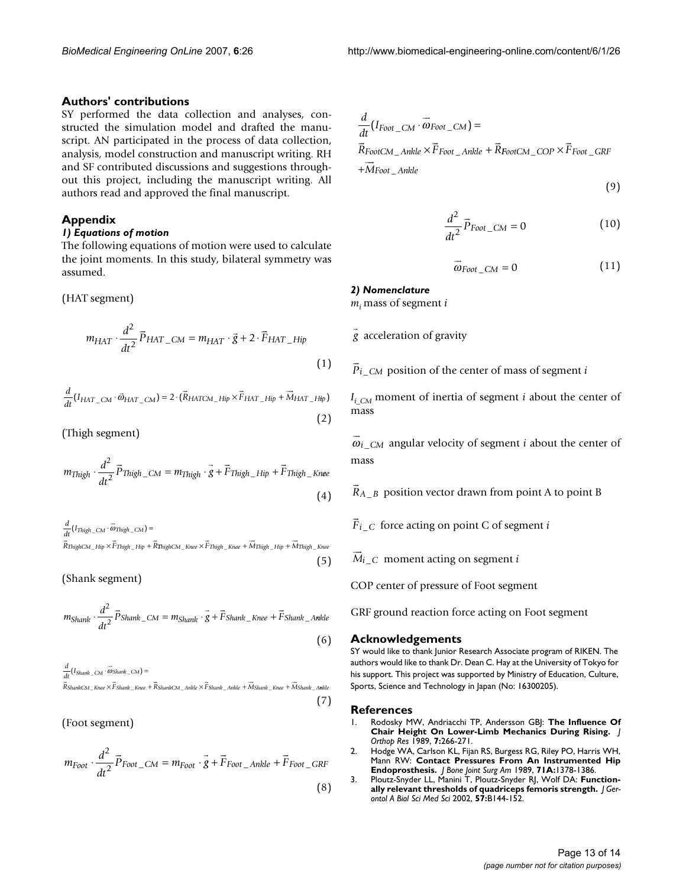#### **Authors' contributions**

SY performed the data collection and analyses, constructed the simulation model and drafted the manuscript. AN participated in the process of data collection, analysis, model construction and manuscript writing. RH and SF contributed discussions and suggestions throughout this project, including the manuscript writing. All authors read and approved the final manuscript.

#### **Appendix**

#### *1) Equations of motion*

The following equations of motion were used to calculate the joint moments. In this study, bilateral symmetry was assumed.

(HAT segment)

$$
m_{HAT} \cdot \frac{d^2}{dt^2} \vec{P}_{HAT\_CM} = m_{HAT} \cdot \vec{g} + 2 \cdot \vec{F}_{HAT\_Hip}
$$
\n(1)

$$
\frac{d}{dt}(I_{HAT\_CM} \cdot \vec{\omega}_{HAT\_CM}) = 2 \cdot (\vec{R}_{HATCM\_Hip} \times \vec{F}_{HAT\_Hip} + \vec{M}_{HAT\_Hip})
$$
\n(2)

(Thigh segment)

$$
m_{Thish} \cdot \frac{d^2}{dt^2} \vec{P}_{Thish\_CM} = m_{Thish} \cdot \vec{g} + \vec{F}_{Thish\_High} + \vec{F}_{Thish\_Knee}
$$
\n(4)

*d*  $\frac{d}{dt} (I_{Thigh\_CM} \cdot \vec{\omega}_{Thigh\_CM}) =$ a:<br>*RThighCM\_Hip* × *F Thigh\_Hip* + *RThighCM\_Knee* × *F Thigh\_Knee* + *MThigh*\_Hip + *MThigh\_Knee* (5)

(Shank segment)

$$
m_{Shank} \cdot \frac{d^2}{dt^2} \vec{P}_{Shank\_CM} = m_{Shank} \cdot \vec{g} + \vec{F}_{Shank\_Knee} + \vec{F}_{Shank\_Ankle}
$$
\n(6)

 $\frac{d}{dt} (I_{Shank\_CM} \cdot \vec{\omega}_{Shank\_CM}) =$ ...<br>RShankCM\_Knee × F Shank \_Knee + RShankCM\_Ankle × F Shank \_Ankle + MShank \_Knee + MShank \_A**n**kle (7)

(Foot segment)

$$
m_{Foot} \cdot \frac{d^2}{dt^2} \vec{P}_{Foot\_CM} = m_{Foot} \cdot \vec{g} + \vec{F}_{Foot\_Ankle} + \vec{F}_{Foot\_GRF}
$$
\n(8)

$$
\frac{d}{dt}(I_{\text{foot}\_\text{CM}} \cdot \vec{\omega}_{\text{foot}\_\text{CM}}) =
$$
\n
$$
\overrightarrow{R}_{\text{foot}\_\text{AM} \_\text{AN} kle} \times \overrightarrow{F}_{\text{foot}\_\text{AN} kle} + \overrightarrow{R}_{\text{foot}\_\text{CM}\_\text{COP}} \times \overrightarrow{F}_{\text{foot}\_\text{GRF}}
$$
\n
$$
+\overrightarrow{M}_{\text{foot}\_\text{AN} kle}
$$

(9)

$$
\frac{d^2}{dt^2}\vec{P}_{\text{foot\_CM}} = 0\tag{10}
$$

$$
\overrightarrow{\omega}_{\text{Foot}\_\text{CM}} = 0 \tag{11}
$$

#### *2) Nomenclature*

*mi* mass of segment *i*

 acceleration of gravity *g*  $\overline{\phantom{a}}$ 

 $P_{i\_CM}$  position of the center of mass of segment *i*  $\overline{\phantom{a}}$ \_

*Ii\_CM* moment of inertia of segment *i* about the center of mass

 $\vec{\omega}_{i\_CM}$  angular velocity of segment *i* about the center of mass *i CM* \_

 $R_{A\_B}$  position vector drawn from point A to point B  $\overline{\phantom{a}}$ \_

 $F_{i\_C}$  force acting on point C of segment *i*  $\overline{\phantom{a}}$ \_

 $M_{i\_C}$  moment acting on segment *i*  $\rightarrow$ \_

COP center of pressure of Foot segment

GRF ground reaction force acting on Foot segment

#### **Acknowledgements**

SY would like to thank Junior Research Associate program of RIKEN. The authors would like to thank Dr. Dean C. Hay at the University of Tokyo for his support. This project was supported by Ministry of Education, Culture, Sports, Science and Technology in Japan (No: 16300205).

#### **References**

- 1. Rodosky MW, Andriacchi TP, Andersson GBJ: **[The Influence Of](http://www.ncbi.nlm.nih.gov/entrez/query.fcgi?cmd=Retrieve&db=PubMed&dopt=Abstract&list_uids=2918425) [Chair Height On Lower-Limb Mechanics During Rising.](http://www.ncbi.nlm.nih.gov/entrez/query.fcgi?cmd=Retrieve&db=PubMed&dopt=Abstract&list_uids=2918425)** *J Orthop Res* 1989, **7:**266-271.
- 2. Hodge WA, Carlson KL, Fijan RS, Burgess RG, Riley PO, Harris WH, Mann RW: **Contact Pressures From An Instrumented Hip Endoprosthesis.** *J Bone Joint Surg Am* 1989, **71A:**1378-1386.
- 3. Ploutz-Snyder LL, Manini T, Ploutz-Snyder RJ, Wolf DA: **[Function](http://www.ncbi.nlm.nih.gov/entrez/query.fcgi?cmd=Retrieve&db=PubMed&dopt=Abstract&list_uids=11909879)[ally relevant thresholds of quadriceps femoris strength.](http://www.ncbi.nlm.nih.gov/entrez/query.fcgi?cmd=Retrieve&db=PubMed&dopt=Abstract&list_uids=11909879)** *J Gerontol A Biol Sci Med Sci* 2002, **57:**B144-152.